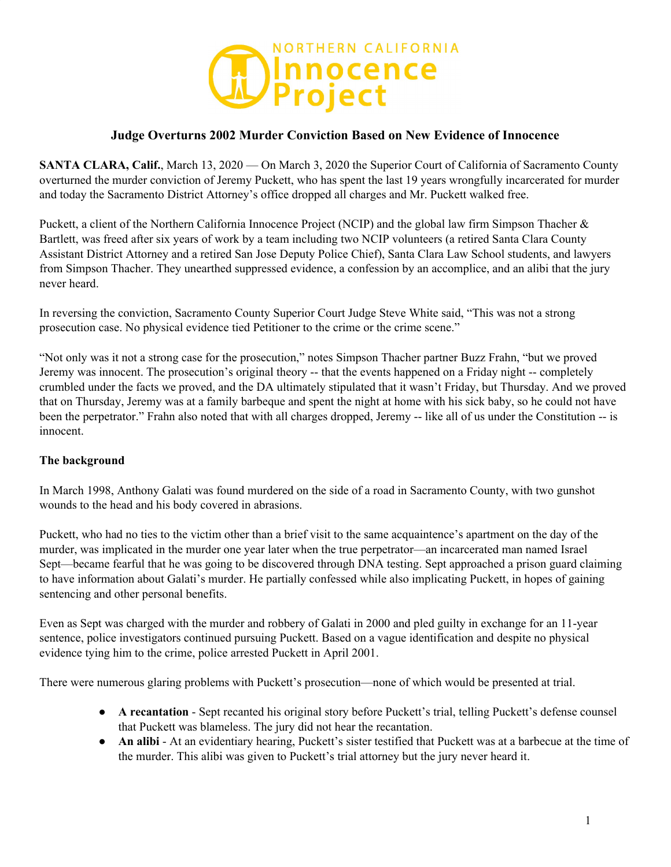

## **Judge Overturns 2002 Murder Conviction Based on New Evidence of Innocence**

**SANTA CLARA, Calif.**, March 13, 2020 — On March 3, 2020 the Superior Court of California of Sacramento County overturned the murder conviction of Jeremy Puckett, who has spent the last 19 years wrongfully incarcerated for murder and today the Sacramento District Attorney's office dropped all charges and Mr. Puckett walked free.

Puckett, a client of the Northern California Innocence Project (NCIP) and the global law firm Simpson Thacher & Bartlett, was freed after six years of work by a team including two NCIP volunteers (a retired Santa Clara County Assistant District Attorney and a retired San Jose Deputy Police Chief), Santa Clara Law School students, and lawyers from Simpson Thacher. They unearthed suppressed evidence, a confession by an accomplice, and an alibi that the jury never heard.

In reversing the conviction, Sacramento County Superior Court Judge Steve White said, "This was not a strong prosecution case. No physical evidence tied Petitioner to the crime or the crime scene."

"Not only was it not a strong case for the prosecution," notes Simpson Thacher partner Buzz Frahn, "but we proved Jeremy was innocent. The prosecution's original theory -- that the events happened on a Friday night -- completely crumbled under the facts we proved, and the DA ultimately stipulated that it wasn't Friday, but Thursday. And we proved that on Thursday, Jeremy was at a family barbeque and spent the night at home with his sick baby, so he could not have been the perpetrator." Frahn also noted that with all charges dropped, Jeremy -- like all of us under the Constitution -- is innocent.

### **The background**

In March 1998, Anthony Galati was found murdered on the side of a road in Sacramento County, with two gunshot wounds to the head and his body covered in abrasions.

Puckett, who had no ties to the victim other than a brief visit to the same acquaintence's apartment on the day of the murder, was implicated in the murder one year later when the true perpetrator—an incarcerated man named Israel Sept—became fearful that he was going to be discovered through DNA testing. Sept approached a prison guard claiming to have information about Galati's murder. He partially confessed while also implicating Puckett, in hopes of gaining sentencing and other personal benefits.

Even as Sept was charged with the murder and robbery of Galati in 2000 and pled guilty in exchange for an 11-year sentence, police investigators continued pursuing Puckett. Based on a vague identification and despite no physical evidence tying him to the crime, police arrested Puckett in April 2001.

There were numerous glaring problems with Puckett's prosecution—none of which would be presented at trial.

- **A recantation** Sept recanted his original story before Puckett's trial, telling Puckett's defense counsel that Puckett was blameless. The jury did not hear the recantation.
- **An alibi** At an evidentiary hearing, Puckett's sister testified that Puckett was at a barbecue at the time of the murder. This alibi was given to Puckett's trial attorney but the jury never heard it.